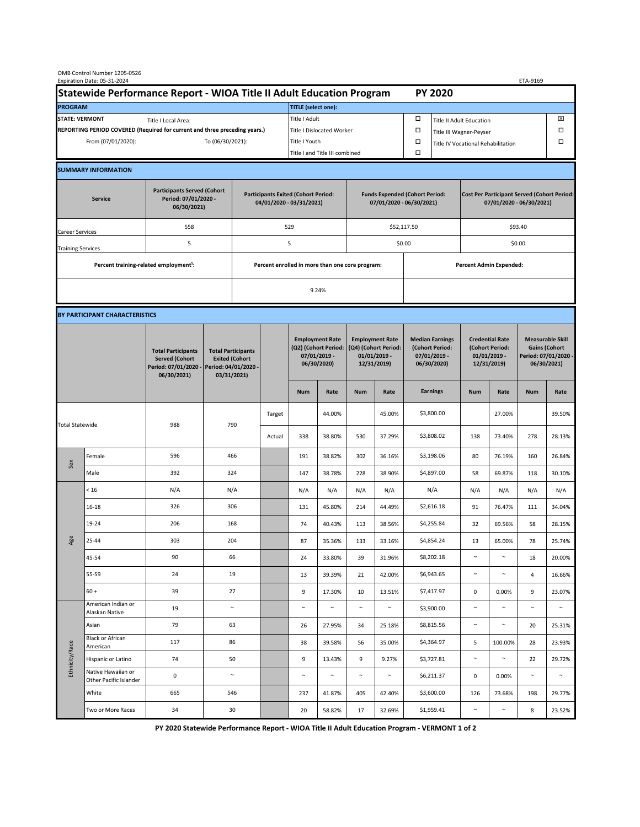| OMB Control Number 1205-0526<br>Expiration Date: 05-31-2024<br>ETA-9169                     |                                                    |                                                                                           |                                                                                           |                                                                        |                           |                                                                               |                                |                                                                                 |        |                                                                            |                                    |                                                                                |                         |                                                                                        |        |  |
|---------------------------------------------------------------------------------------------|----------------------------------------------------|-------------------------------------------------------------------------------------------|-------------------------------------------------------------------------------------------|------------------------------------------------------------------------|---------------------------|-------------------------------------------------------------------------------|--------------------------------|---------------------------------------------------------------------------------|--------|----------------------------------------------------------------------------|------------------------------------|--------------------------------------------------------------------------------|-------------------------|----------------------------------------------------------------------------------------|--------|--|
| Statewide Performance Report - WIOA Title II Adult Education Program                        |                                                    |                                                                                           |                                                                                           |                                                                        |                           | <b>PY 2020</b>                                                                |                                |                                                                                 |        |                                                                            |                                    |                                                                                |                         |                                                                                        |        |  |
| <b>PROGRAM</b>                                                                              |                                                    |                                                                                           |                                                                                           |                                                                        |                           | <b>TITLE</b> (select one):                                                    |                                |                                                                                 |        |                                                                            |                                    |                                                                                |                         |                                                                                        |        |  |
| <b>STATE: VERMONT</b><br>Title I Local Area:                                                |                                                    |                                                                                           |                                                                                           |                                                                        |                           | Title I Adult                                                                 |                                |                                                                                 |        | □<br><b>Title II Adult Education</b>                                       |                                    |                                                                                |                         |                                                                                        | ⊠      |  |
| REPORTING PERIOD COVERED (Required for current and three preceding years.)                  |                                                    |                                                                                           |                                                                                           |                                                                        | Title I Dislocated Worker |                                                                               |                                |                                                                                 |        | Ω                                                                          |                                    |                                                                                | Title III Wagner-Peyser |                                                                                        |        |  |
| From (07/01/2020):                                                                          |                                                    |                                                                                           |                                                                                           | To (06/30/2021):                                                       |                           |                                                                               | Title I Youth                  |                                                                                 |        | $\Box$                                                                     | Title IV Vocational Rehabilitation |                                                                                |                         |                                                                                        | □      |  |
|                                                                                             |                                                    |                                                                                           |                                                                                           |                                                                        |                           |                                                                               | Title I and Title III combined |                                                                                 |        |                                                                            |                                    |                                                                                |                         |                                                                                        |        |  |
|                                                                                             | <b>SUMMARY INFORMATION</b>                         |                                                                                           |                                                                                           |                                                                        |                           |                                                                               |                                |                                                                                 |        |                                                                            |                                    |                                                                                |                         |                                                                                        |        |  |
| <b>Participants Served (Cohort</b><br>Period: 07/01/2020 -<br><b>Service</b><br>06/30/2021) |                                                    |                                                                                           |                                                                                           | <b>Participants Exited (Cohort Period:</b><br>04/01/2020 - 03/31/2021) |                           |                                                                               |                                | <b>Funds Expended (Cohort Period:</b><br>07/01/2020 - 06/30/2021)               |        |                                                                            |                                    | <b>Cost Per Participant Served (Cohort Period:</b><br>07/01/2020 - 06/30/2021) |                         |                                                                                        |        |  |
| Career Services                                                                             |                                                    | 558                                                                                       |                                                                                           |                                                                        |                           | 529                                                                           |                                |                                                                                 |        | \$52,117.50                                                                |                                    | \$93.40                                                                        |                         |                                                                                        |        |  |
| <b>Training Services</b>                                                                    |                                                    | 5                                                                                         |                                                                                           | 5                                                                      |                           |                                                                               |                                |                                                                                 |        | \$0.00                                                                     |                                    | \$0.00                                                                         |                         |                                                                                        |        |  |
|                                                                                             | Percent training-related employment <sup>1</sup> : |                                                                                           | Percent enrolled in more than one core program:                                           |                                                                        |                           |                                                                               |                                |                                                                                 |        |                                                                            | <b>Percent Admin Expended:</b>     |                                                                                |                         |                                                                                        |        |  |
|                                                                                             |                                                    |                                                                                           |                                                                                           |                                                                        |                           |                                                                               | 9.24%                          |                                                                                 |        |                                                                            |                                    |                                                                                |                         |                                                                                        |        |  |
|                                                                                             |                                                    |                                                                                           |                                                                                           |                                                                        |                           |                                                                               |                                |                                                                                 |        |                                                                            |                                    |                                                                                |                         |                                                                                        |        |  |
|                                                                                             | BY PARTICIPANT CHARACTERISTICS                     |                                                                                           |                                                                                           |                                                                        |                           |                                                                               |                                |                                                                                 |        |                                                                            |                                    |                                                                                |                         |                                                                                        |        |  |
|                                                                                             |                                                    | <b>Total Participants</b><br><b>Served (Cohort</b><br>Period: 07/01/2020 -<br>06/30/2021) | <b>Total Participants</b><br><b>Exited (Cohort</b><br>Period: 04/01/2020 -<br>03/31/2021) |                                                                        |                           | <b>Employment Rate</b><br>(Q2) (Cohort Period:<br>07/01/2019 -<br>06/30/2020) |                                | <b>Employment Rate</b><br>(Q4) (Cohort Period:<br>$01/01/2019$ -<br>12/31/2019) |        | <b>Median Earnings</b><br>(Cohort Period:<br>$07/01/2019 -$<br>06/30/2020) |                                    | <b>Credential Rate</b><br>(Cohort Period:<br>$01/01/2019 -$<br>12/31/2019)     |                         | <b>Measurable Skill</b><br><b>Gains (Cohort</b><br>Period: 07/01/2020 -<br>06/30/2021) |        |  |
|                                                                                             |                                                    |                                                                                           |                                                                                           |                                                                        |                           | <b>Num</b>                                                                    | Rate                           | <b>Num</b>                                                                      | Rate   |                                                                            | <b>Earnings</b>                    | <b>Num</b>                                                                     | Rate                    | <b>Num</b>                                                                             | Rate   |  |
| <b>Total Statewide</b>                                                                      |                                                    |                                                                                           | 790                                                                                       |                                                                        | Target                    |                                                                               | 44.00%                         |                                                                                 | 45.00% |                                                                            | \$3,800.00                         |                                                                                | 27.00%                  |                                                                                        | 39.50% |  |
|                                                                                             |                                                    | 988                                                                                       |                                                                                           |                                                                        | Actual                    | 338                                                                           | 38.80%                         | 530                                                                             | 37.29% |                                                                            | \$3,808.02                         | 138                                                                            | 73.40%                  | 278                                                                                    | 28.13% |  |
| Sex                                                                                         | Female                                             | 596                                                                                       | 466                                                                                       |                                                                        |                           | 191                                                                           | 38.82%                         | 302                                                                             | 36.16% |                                                                            | \$3,198.06                         | 80                                                                             | 76.19%                  | 160                                                                                    | 26.84% |  |
|                                                                                             | Male                                               | 392                                                                                       | 324                                                                                       |                                                                        |                           | 147                                                                           | 38.78%                         | 228                                                                             | 38.90% |                                                                            | \$4,897.00                         | 58                                                                             | 69.87%                  | 118                                                                                    | 30.10% |  |
| Age                                                                                         | < 16                                               | N/A                                                                                       | N/A                                                                                       |                                                                        |                           | N/A                                                                           | N/A                            | N/A                                                                             | N/A    |                                                                            | N/A                                | N/A                                                                            | N/A                     | N/A                                                                                    | N/A    |  |
|                                                                                             | $16 - 18$                                          | 326                                                                                       | 306                                                                                       |                                                                        |                           | 131                                                                           | 45.80%                         | 214                                                                             | 44.49% |                                                                            | \$2,616.18                         | 91                                                                             | 76.47%                  | 111                                                                                    | 34.04% |  |
|                                                                                             | 19-24                                              | 206                                                                                       | 168                                                                                       |                                                                        |                           | 74                                                                            | 40.43%                         | 113                                                                             | 38.56% |                                                                            | \$4,255.84                         | 32                                                                             | 69.56%                  | 58                                                                                     | 28.15% |  |
|                                                                                             | 25-44                                              | 303                                                                                       | 204                                                                                       |                                                                        |                           | 87                                                                            | 35.36%                         | 133                                                                             | 33.16% |                                                                            | \$4,854.24                         | 13                                                                             | 65.00%                  | 78                                                                                     | 25.74% |  |
|                                                                                             | 45-54                                              | 90                                                                                        | 66                                                                                        |                                                                        |                           | 24                                                                            | 33.80%                         | 39                                                                              | 31.96% |                                                                            | \$8,202.18                         | $\sim$                                                                         | $\sim$                  | 18                                                                                     | 20.00% |  |
|                                                                                             | 55-59                                              | 24                                                                                        | 19                                                                                        |                                                                        |                           | 13                                                                            | 39.39%                         | 21                                                                              | 42.00% |                                                                            | \$6,943.65                         | $\sim$                                                                         | $\sim$                  | 4                                                                                      | 16.66% |  |
|                                                                                             | $60 +$                                             | 39                                                                                        | 27                                                                                        |                                                                        |                           | 9                                                                             | 17.30%                         | 10                                                                              | 13.51% |                                                                            | \$7,417.97                         | $\mathbf 0$                                                                    | 0.00%                   | 9                                                                                      | 23.07% |  |
| Ethnicity/Race                                                                              | American Indian or<br>Alaskan Native               | 19                                                                                        | $\sim$                                                                                    |                                                                        |                           | $\sim$                                                                        | $\sim$                         | $\sim$                                                                          | $\sim$ |                                                                            | \$3,900.00                         | $\sim$                                                                         | $\sim$                  | $\sim$                                                                                 | $\sim$ |  |
|                                                                                             | Asian<br><b>Black or African</b>                   | 79                                                                                        | 63                                                                                        |                                                                        |                           | 26                                                                            | 27.95%                         | 34                                                                              | 25.18% |                                                                            | \$8,815.56                         | $\sim$                                                                         | $\sim$                  | 20                                                                                     | 25.31% |  |
|                                                                                             | American                                           | 117                                                                                       | 86                                                                                        |                                                                        |                           | 38                                                                            | 39.58%                         | 56                                                                              | 35.00% |                                                                            | \$4,364.97                         | 5                                                                              | 100.00%                 | 28                                                                                     | 23.93% |  |
|                                                                                             | Hispanic or Latino<br>Native Hawaiian or           | 74                                                                                        | 50                                                                                        |                                                                        |                           | 9                                                                             | 13.43%                         | 9                                                                               | 9.27%  |                                                                            | \$3,727.81                         | $\sim$                                                                         | $\sim$                  | 22                                                                                     | 29.72% |  |
|                                                                                             | Other Pacific Islander                             | $\mathsf 0$                                                                               |                                                                                           | $\sim$                                                                 |                           | $\sim$                                                                        | $\sim$                         | $\sim$                                                                          | $\sim$ |                                                                            | \$6,211.37                         | $\mathsf 0$                                                                    | 0.00%                   | $\sim$                                                                                 | $\sim$ |  |
|                                                                                             | White                                              | 665                                                                                       | 546                                                                                       |                                                                        |                           | 237                                                                           | 41.87%                         | 405                                                                             | 42.40% |                                                                            | \$3,600.00                         | 126                                                                            | 73.68%                  | 198                                                                                    | 29.77% |  |
|                                                                                             | Two or More Races                                  | 34                                                                                        | 30                                                                                        |                                                                        |                           | 20                                                                            | 58.82%                         | 17                                                                              | 32.69% |                                                                            | \$1,959.41                         | $\sim$                                                                         | $\sim$                  | 8                                                                                      | 23.52% |  |

**PY 2020 Statewide Performance Report - WIOA Title II Adult Education Program - VERMONT 1 of 2**